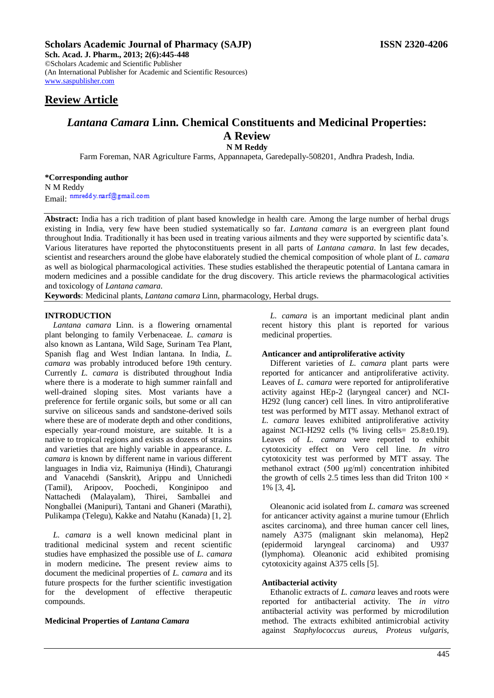**Sch. Acad. J. Pharm., 2013; 2(6):445-448** ©Scholars Academic and Scientific Publisher (An International Publisher for Academic and Scientific Resources) [www.saspublisher.com](http://www.saspublisher.com/)

## **Review Article**

# *Lantana Camara* **Linn. Chemical Constituents and Medicinal Properties: A Review**

**N M Reddy**

Farm Foreman, NAR Agriculture Farms, Appannapeta, Garedepally-508201, Andhra Pradesh, India.

## **\*Corresponding author**

N M Reddy Email: nmreddy.narf@gmail.com

**Abstract:** India has a rich tradition of plant based knowledge in health care. Among the large number of herbal drugs existing in India, very few have been studied systematically so far. *Lantana camara* is an evergreen plant found throughout India. Traditionally it has been used in treating various ailments and they were supported by scientific data's. Various literatures have reported the phytoconstituents present in all parts of *Lantana camara*. In last few decades, scientist and researchers around the globe have elaborately studied the chemical composition of whole plant of *L. camara* as well as biological pharmacological activities. These studies established the therapeutic potential of Lantana camara in modern medicines and a possible candidate for the drug discovery. This article reviews the pharmacological activities and toxicology of *Lantana camara*.

**Keywords**: Medicinal plants, *Lantana camara* Linn, pharmacology, Herbal drugs.

## **INTRODUCTION**

*Lantana camara* Linn. is a flowering ornamental plant belonging to family Verbenaceae. *L. camara* is also known as Lantana, Wild Sage, Surinam Tea Plant, Spanish flag and West Indian lantana. In India, *L. camara* was probably introduced before 19th century. Currently *L. camara* is distributed throughout India where there is a moderate to high summer rainfall and well-drained sloping sites. Most variants have a preference for fertile organic soils, but some or all can survive on siliceous sands and sandstone-derived soils where these are of moderate depth and other conditions, especially year-round moisture, are suitable. It is a native to tropical regions and exists as dozens of strains and varieties that are highly variable in appearance. *L. camara* is known by different name in various different languages in India viz, Raimuniya (Hindi), Chaturangi and Vanacehdi (Sanskrit), Arippu and Unnichedi (Tamil), Aripoov, Poochedi, Konginipoo and Nattachedi (Malayalam), Thirei, Samballei and Nongballei (Manipuri), Tantani and Ghaneri (Marathi), Pulikampa (Telegu), Kakke and Natahu (Kanada) [1, 2].

*L. camara* is a well known medicinal plant in traditional medicinal system and recent scientific studies have emphasized the possible use of *L. camara*  in modern medicine**.** The present review aims to document the medicinal properties of *L. camara* and its future prospects for the further scientific investigation for the development of effective therapeutic compounds.

#### **Medicinal Properties of** *Lantana Camara*

*L. camara* is an important medicinal plant andin recent history this plant is reported for various medicinal properties.

## **Anticancer and antiproliferative activity**

Different varieties of *L. camara* plant parts were reported for anticancer and antiproliferative activity. Leaves of *L. camara* were reported for antiproliferative activity against HEp-2 (laryngeal cancer) and NCI-H292 (lung cancer) cell lines. In vitro antiproliferative test was performed by MTT assay. Methanol extract of *L. camara* leaves exhibited antiproliferative activity against NCI-H292 cells  $%$  living cells=  $25.8\pm0.19$ ). Leaves of *L. camara* were reported to exhibit cytotoxicity effect on Vero cell line. *In vitro*  cytotoxicity test was performed by MTT assay. The methanol extract (500 μg/ml) concentration inhibited the growth of cells 2.5 times less than did Triton  $100 \times$ 1% [3, 4]**.**

Oleanonic acid isolated from *L. camara* was screened for anticancer activity against a murine tumour (Ehrlich ascites carcinoma), and three human cancer cell lines, namely A375 (malignant skin melanoma), Hep2 (epidermoid laryngeal carcinoma) and U937 (lymphoma). Oleanonic acid exhibited promising cytotoxicity against A375 cells [5].

## **Antibacterial activity**

Ethanolic extracts of *L. camara* leaves and roots were reported for antibacterial activity. The *in vitro* antibacterial activity was performed by microdilution method. The extracts exhibited antimicrobial activity against *Staphylococcus aureus, Proteus vulgaris,*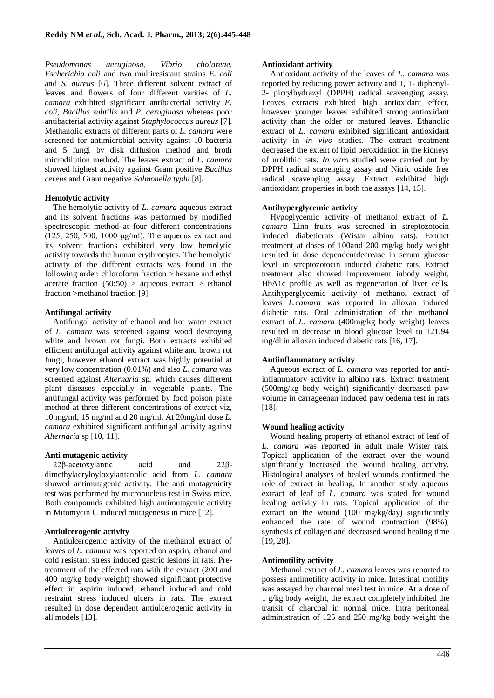*Pseudomonas aeruginosa*, *Víbrio cholareae*, *Escherichia coli* and two multiresistant strains *E. coli*  and *S. aureus* [6]. Three different solvent extract of leaves and flowers of four different varities of *L. camara* exhibited significant antibacterial activity *E. coli*, *Bacillus subtilis* and *P. aeruginosa* whereas poor antibacterial activity against *Staphylococcus aureus* [7]. Methanolic extracts of different parts of *L. camara* were screened for antimicrobial activity against 10 bacteria and 5 fungi by disk diffusion method and broth microdilution method. The leaves extract of *L. camara*  showed highest activity against Gram positive *Bacillus cereus* and Gram negative *Salmonella typhi* [8]**.**

## **Hemolytic activity**

The hemolytic activity of *L. camara* aqueous extract and its solvent fractions was performed by modified spectroscopic method at four different concentrations (125, 250, 500, 1000 μg/ml). The aqueous extract and its solvent fractions exhibited very low hemolytic activity towards the human erythrocytes. The hemolytic activity of the different extracts was found in the following order: chloroform fraction > hexane and ethyl acetate fraction  $(50:50) >$  aqueous extract  $>$  ethanol fraction >methanol fraction [9].

## **Antifungal activity**

Antifungal activity of ethanol and hot water extract of *L. camara* was screened against wood destroying white and brown rot fungi. Both extracts exhibited efficient antifungal activity against white and brown rot fungi, however ethanol extract was highly potential at very low concentration (0.01%) and also *L. camara* was screened against *Alternaria* sp*.* which causes different plant diseases especially in vegetable plants. The antifungal activity was performed by food poison plate method at three different concentrations of extract viz, 10 mg/ml, 15 mg/ml and 20 mg/ml. At 20mg/ml dose *L. camara* exhibited significant antifungal activity against *Alternaria* sp [10, 11].

#### **Anti mutagenic activity**

22β-acetoxylantic acid and 22β-

dimethylacryloyloxylantanolic acid from *L*. *camara* showed antimutagenic activity. The anti mutagenicity test was performed by micronucleus test in Swiss mice. Both compounds exhibited high antimutagenic activity in Mitomycin C induced mutagenesis in mice [12].

### **Antiulcerogenic activity**

Antiulcerogenic activity of the methanol extract of leaves of *L. camara* was reported on asprin, ethanol and cold resistant stress induced gastric lesions in rats. Pretreatment of the effected rats with the extract (200 and 400 mg/kg body weight) showed significant protective effect in aspirin induced, ethanol induced and cold restraint stress induced ulcers in rats. The extract resulted in dose dependent antiulcerogenic activity in all models [13].

#### **Antioxidant activity**

Antioxidant activity of the leaves of *L. camara* was reported by reducing power activity and 1, 1- diphenyl-2- picrylhydrazyl (DPPH) radical scavenging assay. Leaves extracts exhibited high antioxidant effect, however younger leaves exhibited strong antioxidant activity than the older or matured leaves. Ethanolic extract of *L. camara* exhibited significant antioxidant activity in *in vivo* studies. The extract treatment decreased the extent of lipid peroxidation in the kidneys of urolithic rats. *In vitro* studied were carried out by DPPH radical scavenging assay and Nitric oxide free radical scavenging assay. Extract exhibited high antioxidant properties in both the assays [14, 15].

## **Antihyperglycemic activity**

Hypoglycemic activity of methanol extract of *L. camara* Linn fruits was screened in streptozotocin induced diabeticrats (Wistar albino rats). Extract treatment at doses of 100and 200 mg/kg body weight resulted in dose dependentdecrease in serum glucose level in streptozotocin induced diabetic rats. Extract treatment also showed improvement inbody weight, HbA1c profile as well as regeneration of liver cells. Antihyperglycemic activity of methanol extract of leaves *L.camara* was reported in alloxan induced diabetic rats. Oral administration of the methanol extract of *L. camara* (400mg/kg body weight) leaves resulted in decrease in blood glucose level to 121.94 mg/dl in alloxan induced diabetic rats [16, 17].

#### **Antiinflammatory activity**

Aqueous extract of *L. camara* was reported for antiinflammatory activity in albino rats. Extract treatment (500mg/kg body weight) significantly decreased paw volume in carrageenan induced paw oedema test in rats [18].

## **Wound healing activity**

Wound healing property of ethanol extract of leaf of *L. camara* was reported in adult male Wister rats. Topical application of the extract over the wound significantly increased the wound healing activity. Histological analyses of healed wounds confirmed the role of extract in healing. In another study aqueous extract of leaf of *L. camara* was stated for wound healing activity in rats. Topical application of the extract on the wound (100 mg/kg/day) significantly enhanced the rate of wound contraction (98%), synthesis of collagen and decreased wound healing time [19, 20].

#### **Antimotility activity**

Methanol extract of *L. camara* leaves was reported to possess antimotility activity in mice. Intestinal motility was assayed by charcoal meal test in mice. At a dose of 1 g/kg body weight, the extract completely inhibited the transit of charcoal in normal mice. Intra peritoneal administration of 125 and 250 mg/kg body weight the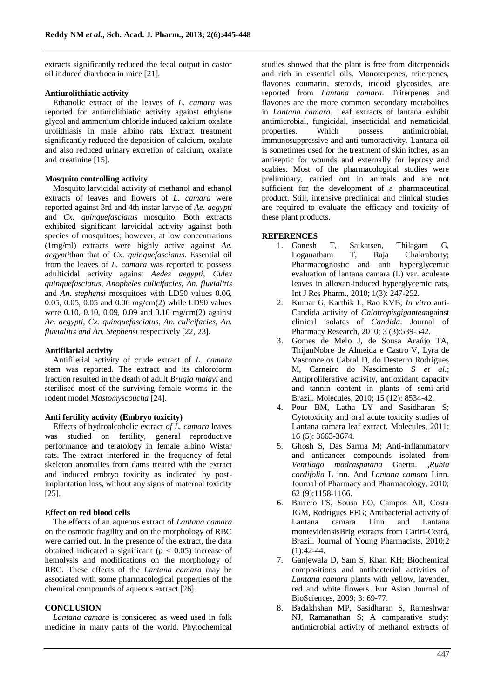extracts significantly reduced the fecal output in castor oil induced diarrhoea in mice [21].

#### **Antiurolithiatic activity**

Ethanolic extract of the leaves of *L. camara* was reported for antiurolithiatic activity against ethylene glycol and ammonium chloride induced calcium oxalate urolithiasis in male albino rats. Extract treatment significantly reduced the deposition of calcium, oxalate and also reduced urinary excretion of calcium, oxalate and creatinine [15].

#### **Mosquito controlling activity**

Mosquito larvicidal activity of methanol and ethanol extracts of leaves and flowers of *L. camara* were reported against 3rd and 4th instar larvae of *Ae. aegypti* and *Cx. quinquefasciatus* mosquito. Both extracts exhibited significant larvicidal activity against both species of mosquitoes; however, at low concentrations (1mg/ml) extracts were highly active against *Ae. aegypti*than that of *Cx. quinquefasciatus*. Essential oil from the leaves of *L. camara* was reported to possess adulticidal activity against *Aedes aegypti*, *Culex quinquefasciatus*, *Anopheles culicifacies*, *An*. *fluvialitis*  and *An*. *stephensi* mosquitoes with LD50 values 0.06, 0.05, 0.05, 0.05 and 0.06 mg/cm(2) while LD90 values were 0.10, 0.10, 0.09, 0.09 and 0.10 mg/cm(2) against *Ae. aegypti, Cx. quinquefasciatus, An. culicifacies, An. fluvialitis and An. Stephensi* respectively [22, 23].

#### **Antifilarial activity**

Antifilerial activity of crude extract of *L. camara*  stem was reported. The extract and its chloroform fraction resulted in the death of adult *Brugia malayi* and sterilised most of the surviving female worms in the rodent model *Mastomyscoucha* [24].

#### **Anti fertility activity (Embryo toxicity)**

Effects of hydroalcoholic extract *of L. camara* leaves was studied on fertility, general reproductive performance and teratology in female albino Wistar rats. The extract interfered in the frequency of fetal skeleton anomalies from dams treated with the extract and induced embryo toxicity as indicated by postimplantation loss, without any signs of maternal toxicity [25].

#### **Effect on red blood cells**

The effects of an aqueous extract of *Lantana camara*  on the osmotic fragility and on the morphology of RBC were carried out. In the presence of the extract, the data obtained indicated a significant ( $p < 0.05$ ) increase of hemolysis and modifications on the morphology of RBC. These effects of the *Lantana camara* may be associated with some pharmacological properties of the chemical compounds of aqueous extract [26].

#### **CONCLUSION**

*Lantana camara* is considered as weed used in folk medicine in many parts of the world. Phytochemical studies showed that the plant is free from diterpenoids and rich in essential oils. Monoterpenes, triterpenes, flavones coumarin, steroids, iridoid glycosides, are reported from *Lantana camara*. Triterpenes and flavones are the more common secondary metabolites in *Lantana camara*. Leaf extracts of lantana exhibit antimicrobial, fungicidal, insecticidal and nematicidal properties. Which possess antimicrobial, immunosuppressive and anti tumoractivity. Lantana oil is sometimes used for the treatment of skin itches, as an antiseptic for wounds and externally for leprosy and scabies. Most of the pharmacological studies were preliminary, carried out in animals and are not sufficient for the development of a pharmaceutical product. Still, intensive preclinical and clinical studies are required to evaluate the efficacy and toxicity of these plant products.

#### **REFERENCES**

- 1. Ganesh T, Saikatsen, Thilagam G, Loganatham T, Raja Chakraborty; Pharmacognostic and anti hyperglycemic evaluation of lantana camara (L) var. aculeate leaves in alloxan-induced hyperglycemic rats, Int J Res Pharm., 2010; 1(3): 247-252.
- 2. Kumar G, Karthik L, Rao KVB; *In vitro* anti-Candida activity of *Calotropisgigantea*against clinical isolates of *Candida*. Journal of Pharmacy Research, 2010; 3 (3):539-542.
- 3. Gomes de Melo J, de Sousa Araújo TA, ThijanNobre de Almeida e Castro V, Lyra de Vasconcelos Cabral D, do Desterro Rodrigues M, Carneiro do Nascimento S *et al.*; Antiproliferative activity, antioxidant capacity and tannin content in plants of semi-arid Brazil. Molecules, 2010; 15 (12): 8534-42.
- 4. Pour BM, Latha LY and Sasidharan S; Cytotoxicity and oral acute toxicity studies of Lantana camara leaf extract. Molecules, 2011; 16 (5): 3663-3674.
- 5. Ghosh S, Das Sarma M; Anti-inflammatory and anticancer compounds isolated from *Ventilago madraspatana* Gaertn. ,*Rubia cordifolia* L inn. And *Lantana camara* Linn. Journal of Pharmacy and Pharmacology, 2010; 62 (9):1158-1166.
- 6. Barreto FS, Sousa EO, Campos AR, Costa JGM, Rodrigues FFG; Antibacterial activity of Lantana camara Linn and Lantana montevidensisBrig extracts from Cariri-Ceará, Brazil. Journal of Young Pharmacists, 2010;2  $(1):42-44.$
- 7. Ganjewala D, Sam S, Khan KH; Biochemical compositions and antibacterial activities of *Lantana camara* plants with yellow, lavender, red and white flowers. Eur Asian Journal of BioSciences, 2009; 3: 69-77.
- 8. Badakhshan MP, Sasidharan S, Rameshwar NJ, Ramanathan S; A comparative study: antimicrobial activity of methanol extracts of